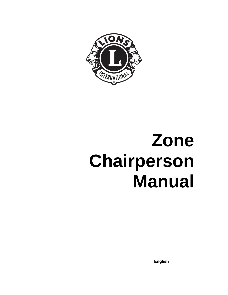

# **Zone Chairperson Manual**

 **English**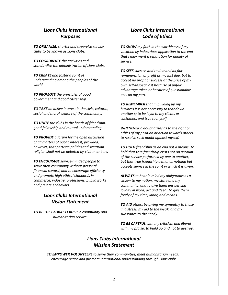# Lions Clubs International Purposes

TO ORGANIZE, charter and supervise service clubs to be known as Lions clubs.

TO COORDINATE the activities and standardize the administration of Lions clubs.

TO CREATE and foster a spirit of understanding among the peoples of the world.

TO PROMOTE the principles of good government and good citizenship.

TO TAKE an active interest in the civic, cultural, social and moral welfare of the community.

TO UNITE the clubs in the bonds of friendship, good fellowship and mutual understanding.

TO PROVIDE a forum for the open discussion of all matters of public interest; provided, however, that partisan politics and sectarian religion shall not be debated by club members.

TO ENCOURAGE service-minded people to serve their community without personal financial reward, and to encourage efficiency and promote high ethical standards in commerce, industry, professions, public works and private endeavors.

# Lions Clubs International Vision Statement

TO BE THE GLOBAL LEADER in community and humanitarian service.

# Lions Clubs International Code of Ethics

TO SHOW my faith in the worthiness of my vocation by industrious application to the end that I may merit a reputation for quality of service.

**TO SEEK** success and to demand all fair remuneration or profit as my just due, but to accept no profit or success at the price of my own self-respect lost because of unfair advantage taken or because of questionable acts on my part.

TO REMEMBER that in building up my business it is not necessary to tear down another's; to be loyal to my clients or customers and true to myself.

WHENEVER a doubt arises as to the right or ethics of my position or action towards others, to resolve such doubt against myself.

TO HOLD friendship as an end not a means. To hold that true friendship exists not on account of the service performed by one to another, but that true friendship demands nothing but accepts service in the spirit in which it is given.

ALWAYS to bear in mind my obligations as a citizen to my nation, my state and my community, and to give them unswerving loyalty in word, act and deed. To give them freely of my time, labor, and means.

TO AID others by giving my sympathy to those in distress, my aid to the weak, and my substance to the needy.

TO BE CAREFUL with my criticism and liberal with my praise; to build up and not to destroy.

# Lions Clubs International Mission Statement

TO EMPOWER VOLUNTEERS to serve their communities, meet humanitarian needs, encourage peace and promote international understanding through Lions clubs.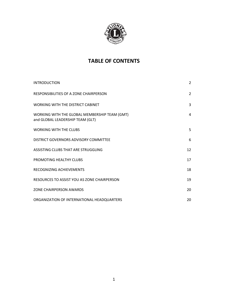

# TABLE OF CONTENTS

| <b>INTRODUCTION</b>                                                               | $\overline{2}$ |
|-----------------------------------------------------------------------------------|----------------|
| RESPONSIBILITIES OF A ZONE CHAIRPERSON                                            | $\overline{2}$ |
| <b>WORKING WITH THE DISTRICT CABINET</b>                                          | 3              |
| WORKING WITH THE GLOBAL MEMBERSHIP TEAM (GMT)<br>and GLOBAL LEADERSHIP TEAM (GLT) | 4              |
| <b>WORKING WITH THE CLUBS</b>                                                     | 5              |
| DISTRICT GOVERNORS ADVISORY COMMITTEE                                             | 6              |
| ASSISTING CLUBS THAT ARE STRUGGLING                                               | 12             |
| PROMOTING HEALTHY CLUBS                                                           | 17             |
| RECOGNIZING ACHIEVEMENTS                                                          | 18             |
| RESOURCES TO ASSIST YOU AS ZONE CHAIRPERSON                                       | 19             |
| ZONE CHAIRPERSON AWARDS                                                           | 20             |
| ORGANIZATION OF INTERNATIONAL HEADQUARTERS                                        | 20             |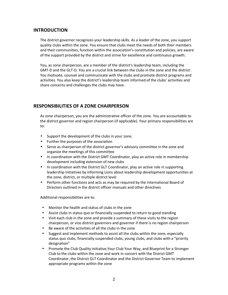# INTRODUCTION

The district governor recognizes your leadership skills. As a leader of the zone, you support quality clubs within the zone. You ensure that clubs meet the needs of both their members and their communities, function within the association's constitution and policies, are aware of the support provided by the district and strive for excellence and continuous growth.

You, as zone chairperson, are a member of the district's leadership team, including the GMT-D and the GLT-D. You are a crucial link between the clubs in the zone and the district. You motivate, counsel and communicate with the clubs and promote district programs and activities. You also keep the district's leadership team informed of the clubs' activities and share concerns and challenges the clubs may have.

# RESPONSIBILITIES OF A ZONE CHAIRPERSON

As zone chairperson, you are the administrative officer of the zone. You are accountable to the district governor and region chairperson (if applicable). Your primary responsibilities are to:

- Support the development of the clubs in your zone.
- Further the purposes of the association
- Serve as chairperson of the district governor's advisory committee in the zone and organize the meetings of this committee
- In coordination with the District GMT Coordinator, play an active role in membership development including extension of new clubs
- In coordination with the District GLT Coordinator, play an active role in supporting leadership initiatives by informing Lions about leadership development opportunities at the zone, district, or multiple district level
- Perform other functions and acts as may be required by the International Board of Directors outlined in the district officer manuals and other directives

Additional responsibilities are to:

- Monitor the health and status of clubs in the zone
- Assist clubs in status quo or financially suspended to return to good standing
- Visit each club in the zone and provide a summary of these visits to the region chairperson, or vice district governors and governor if there is no region chairperson
- Be aware of the activities of all the clubs in the zone
- Suggest and implement methods to assist all the clubs within the zone, especially status quo clubs, financially suspended clubs, young clubs, and clubs with a "priority designation"
- Promote the Club Quality initiative,Your Club Your Way, and Blueprint for a Stronger Club to the clubs within the zone and work in concert with the District GMT Coordinator, the District GLT Coordinator and the District Governor Team to implement appropriate programs within the zone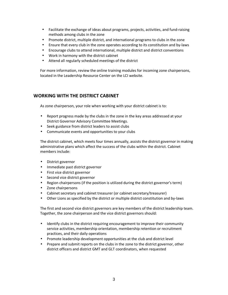- Facilitate the exchange of ideas about programs, projects, activities, and fund-raising methods among clubs in the zone
- Promote district, multiple district, and international programs to clubs in the zone
- Ensure that every club in the zone operates according to its constitution and by-laws
- Encourage clubs to attend international, multiple district and district conventions
- Work in harmony with the district cabinet
- Attend all regularly scheduled meetings of the district

For more information, review the online training modules for incoming zone chairpersons, located in the Leadership Resource Center on the LCI website.

# WORKING WITH THE DISTRICT CABINET

As zone chairperson, your role when working with your district cabinet is to:

- Report progress made by the clubs in the zone in the key areas addressed at your District Governor Advisory Committee Meetings.
- Seek guidance from district leaders to assist clubs
- Communicate events and opportunities to your clubs

The district cabinet, which meets four times annually, assists the district governor in making administrative plans which affect the success of the clubs within the district. Cabinet members include:

- District governor
- Immediate past district governor
- First vice district governor
- Second vice district governor
- Region chairpersons (if the position is utilized during the district governor's term)
- Zone chairpersons
- Cabinet secretary and cabinet treasurer (or cabinet secretary/treasurer)
- Other Lions as specified by the district or multiple district constitution and by-laws

The first and second vice district governors are key members of the district leadership team. Together, the zone chairperson and the vice district governors should:

- Identify clubs in the district requiring encouragement to improve their community service activities, membership orientation, membership retention or recruitment practices, and their daily operations
- Promote leadership development opportunities at the club and district level
- Prepare and submit reports on the clubs in the zone to the district governor, other district officers and district GMT and GLT coordinators, when requested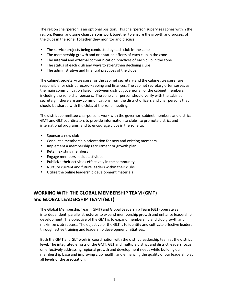The region chairperson is an optional position. This chairperson supervises zones within the region. Region and zone chairpersons work together to ensure the growth and success of the clubs in the zone. Together they monitor and discuss:

- The service projects being conducted by each club in the zone
- The membership growth and orientation efforts of each club in the zone
- The internal and external communication practices of each club in the zone
- The status of each club and ways to strengthen declining clubs
- The administrative and financial practices of the clubs

The cabinet secretary/treasurer or the cabinet secretary and the cabinet treasurer are responsible for district record-keeping and finances. The cabinet secretary often serves as the main communication liaison between district governor all of the cabinet members, including the zone chairpersons. The zone chairperson should verify with the cabinet secretary if there are any communications from the district officers and chairpersons that should be shared with the clubs at the zone meeting.

The district committee chairpersons work with the governor, cabinet members and district GMT and GLT coordinators to provide information to clubs, to promote district and international programs, and to encourage clubs in the zone to:

- Sponsor a new club
- Conduct a membership orientation for new and existing members
- Implement a membership recruitment or growth plan
- Retain existing members
- Engage members in club activities
- Publicize their activities effectively in the community
- Nurture current and future leaders within their clubs
- Utilize the online leadership development materials

# WORKING WITH THE GLOBAL MEMBERSHIP TEAM (GMT) and GLOBAL LEADERSHIP TEAM (GLT)

The Global Membership Team (GMT) and Global Leadership Team (GLT) operate as interdependent, parallel structures to expand membership growth and enhance leadership development. The objective of the GMT is to expand membership and club growth and maximize club success. The objective of the GLT is to identify and cultivate effective leaders through active training and leadership development initiatives.

Both the GMT and GLT work in coordination with the district leadership team at the district level. The integrated efforts of the GMT, GLT and multiple district and district leaders focus on effectively addressing regional growth and development needs while building our membership base and improving club health, and enhancing the quality of our leadership at all levels of the association.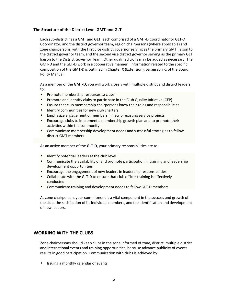#### The Structure of the District Level GMT and GLT

Each sub-district has a GMT and GLT, each comprised of a GMT-D Coordinator or GLT-D Coordinator, and the district governor team, region chairpersons (where applicable) and zone chairpersons, with the first vice district governor serving as the primary GMT liaison to the district governor team, and the second vice district governor serving as the primary GLT liaison to the District Governor Team. Other qualified Lions may be added as necessary. The GMT-D and the GLT-D work in a cooperative manner. Information related to the specific composition of the GMT-D is outlined in Chapter X (Extension); paragraph K. of the Board Policy Manual.

As a member of the GMT-D, you will work closely with multiple district and district leaders to:

- Promote membership resources to clubs
- Promote and identify clubs to participate in the Club Quality Initiative (CEP)
- Ensure that club membership chairpersons know their roles and responsibilities
- Identify communities for new club charters
- Emphasize engagement of members in new or existing service projects
- Encourage clubs to implement a membership growth plan and to promote their activities within the community
- Communicate membership development needs and successful strategies to fellow district GMT members

As an active member of the GLT-D, your primary responsibilities are to:

- Identify potential leaders at the club level
- Communicate the availability of and promote participation in training and leadership development opportunities
- Encourage the engagement of new leaders in leadership responsibilities
- Collaborate with the GLT-D to ensure that club officer training is effectively conducted
- Communicate training and development needs to fellow GLT-D members

As zone chairperson, your commitment is a vital component in the success and growth of the club, the satisfaction of its individual members, and the identification and development of new leaders.

# WORKING WITH THE CLUBS

Zone chairpersons should keep clubs in the zone informed of zone, district, multiple district and international events and training opportunities, because advance publicity of events results in good participation. Communication with clubs is achieved by:

• Issuing a monthly calendar of events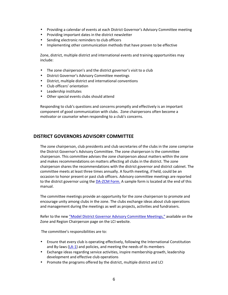- Providing a calendar of events at each District Governor's Advisory Committee meeting
- Providing important dates in the district newsletter
- Sending electronic reminders to club officers
- Implementing other communication methods that have proven to be effective

Zone, district, multiple district and international events and training opportunities may include:

- The zone chairperson's and the district governor's visit to a club
- District Governor's Advisory Committee meetings
- District, multiple district and international conventions
- Club officers' orientation
- Leadership institutes
- Other special events clubs should attend

Responding to club's questions and concerns promptly and effectively is an important component of good communication with clubs. Zone chairpersons often become a motivator or counselor when responding to a club's concerns.

## DISTRICT GOVERNORS ADVISORY COMMITTEE

The zone chairperson, club presidents and club secretaries of the clubs in the zone comprise the District Governor's Advisory Committee. The zone chairperson is the committee chairperson. This committee advises the zone chairperson about matters within the zone and makes recommendations on matters affecting all clubs in the district. The zone chairperson shares the recommendations with the district governor and district cabinet. The committee meets at least three times annually. A fourth meeting, if held, could be an occasion to honor present or past club officers. Advisory committee meetings are reported to the district governor using the DA-ZCM Form. A sample form is located at the end of this manual.

The committee meetings provide an opportunity for the zone chairperson to promote and encourage unity among clubs in the zone. The clubs exchange ideas about club operations and management during the meetings as well as projects, activities and fundraisers.

Refer to the new "Model District Governor Advisory Committee Meetings," available on the Zone and Region Chairperson page on the LCI website.

The committee's responsibilities are to:

- Ensure that every club is operating effectively, following the International Constitution and By-laws  $(LA-1)$  and policies, and meeting the needs of its members
- Exchange ideas regarding service activities, inspire membership growth, leadership development and effective club operations
- Promote the programs offered by the district, multiple district and LCI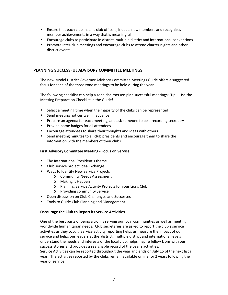- Ensure that each club installs club officers, inducts new members and recognizes member achievements in a way that is meaningful
- Encourage clubs to participate in district, multiple district and international conventions
- Promote inter-club meetings and encourage clubs to attend charter nights and other district events

#### PLANNING SUCCESSFUL ADVISORY COMMITTEE MEETINGS

The new Model District Governor Advisory Committee Meetings Guide offers a suggested focus for each of the three zone meetings to be held during the year.

The following checklist can help a zone chairperson plan successful meetings: Tip – Use the Meeting Preparation Checklist in the Guide!

- Select a meeting time when the majority of the clubs can be represented
- Send meeting notices well in advance
- Prepare an agenda for each meeting, and ask someone to be a recording secretary
- Provide name badges for all attendees
- Encourage attendees to share their thoughts and ideas with others
- Send meeting minutes to all club presidents and encourage them to share the information with the members of their clubs

#### First Advisory Committee Meeting - Focus on Service

- The International President's theme
- Club service project Idea Exchange
- Ways to Identify New Service Projects
	- o Community Needs Assessment
		- o Making it Happen
		- o Planning Service Activity Projects for your Lions Club
		- o Providing community Service
- Open discussion on Club Challenges and Successes
- Tools to Guide Club Planning and Management

#### Encourage the Club to Report its Service Activities

One of the best parts of being a Lion is serving our local communities as well as meeting worldwide humanitarian needs. Club secretaries are asked to report the club's service activities as they occur. Service activity reporting helps us measure the impact of our service and helps our leaders at the district, multiple district and international levels understand the needs and interests of the local club, helps inspire fellow Lions with our success stories and provides a searchable record of the year's activities.

Service Activities can be reported throughout the year and ends on July 15 of the next fiscal year. The activities reported by the clubs remain available online for 2 years following the year of service.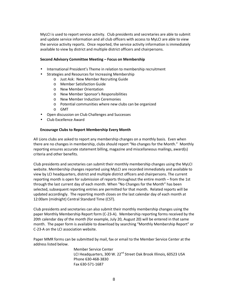MyLCI is used to report service activity. Club presidents and secretaries are able to submit and update service information and all club officers with access to MyLCI are able to view the service activity reports. Once reported, the service activity information is immediately available to view by district and multiple district officers and chairpersons.

#### Second Advisory Committee Meeting – Focus on Membership

- International President's Theme in relation to membership recruitment
- Strategies and Resources for Increasing Membership
	- o Just Ask: New Member Recruiting Guide
	- o Member Satisfaction Guide
	- o New Member Orientation
	- o New Member Sponsor's Responsibilities
	- o New Member Induction Ceremonies
	- o Potential communities where new clubs can be organized
	- o GMT
- Open discussion on Club Challenges and Successes
- Club Excellence Award

#### Encourage Clubs to Report Membership Every Month

All Lions clubs are asked to report any membership changes on a monthly basis. Even when there are no changes in membership, clubs should report "No changes for the Month." Monthly reporting ensures accurate statement billing, magazine and miscellaneous mailings, award(s) criteria and other benefits.

Club presidents and secretaries can submit their monthly membership changes using the MyLCI website. Membership changes reported using MyLCI are recorded immediately and available to view by LCI headquarters, district and multiple district officers and chairpersons. The current reporting month is open for submission of reports throughout the entire month – from the 1st through the last current day of each month. When "No Changes for the Month" has been selected, subsequent reporting entries are permitted for that month. Related reports will be updated accordingly. The reporting month closes on the last calendar day of each month at 12:00am (midnight) Central Standard Time (CST).

Club presidents and secretaries can also submit their monthly membership changes using the paper Monthly Membership Report form (C-23-A). Membership reporting forms received by the 20th calendar day of the month (for example, July 20, August 20) will be entered in that same month. The paper form is available to download by searching "Monthly Membership Report" or C-23-A on the LCI association website.

Paper MMR forms can be submitted by mail, fax or email to the Member Service Center at the address listed below.

> Member Service Center LCI Headquarters, 300 W. 22<sup>nd</sup> Street Oak Brook Illinois, 60523 USA Phone 630-468-3830 Fax 630-571-1687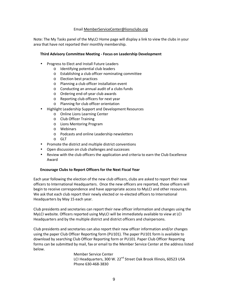#### Email MemberServiceCenter@lionsclubs.org

Note: The My Tasks panel of the MyLCI Home page will display a link to view the clubs in your area that have not reported their monthly membership.

#### Third Advisory Committee Meeting - Focus on Leadership Development

- Progress to Elect and Install Future Leaders
	- o Identifying potential club leaders
	- o Establishing a club officer nominating committee
	- o Election best practices
	- o Planning a club officer installation event
	- o Conducting an annual audit of a clubs funds
	- o Ordering end-of-year club awards
	- o Reporting club officers for next year
	- o Planning for club officer orientation
- Highlight Leadership Support and Development Resources
	- o Online Lions Learning Center
	- o Club Officer Training
	- o Lions Mentoring Program
	- o Webinars
	- o Podcasts and online Leadership newsletters
	- o GLT
- Promote the district and multiple district conventions
- Open discussion on club challenges and successes
- Review with the club officers the application and criteria to earn the Club Excellence Award

#### Encourage Clubs to Report Officers for the Next Fiscal Year

Each year following the election of the new club officers, clubs are asked to report their new officers to International Headquarters. Once the new officers are reported, those officers will begin to receive correspondence and have appropriate access to MyLCI and other resources. We ask that each club report their newly elected or re-elected officers to International Headquarters by May 15 each year.

Club presidents and secretaries can report their new officer information and changes using the MyLCI website. Officers reported using MyLCI will be immediately available to view at LCI Headquarters and by the multiple district and district officers and chairpersons.

Club presidents and secretaries can also report their new officer information and/or changes using the paper Club Officer Reporting form (PU101). The paper PU101 form is available to download by searching Club Officer Reporting form or PU101. Paper Club Officer Reporting forms can be submitted by mail, fax or email to the Member Service Center at the address listed below.

> Member Service Center LCI Headquarters, 300 W. 22<sup>nd</sup> Street Oak Brook Illinois, 60523 USA Phone 630-468-3830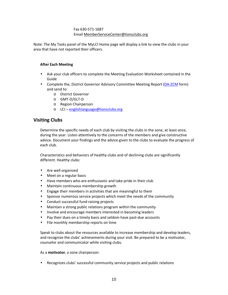#### Fax 630-571-1687 Email MemberServiceCenter@lionsclubs.org

Note: The My Tasks panel of the MyLCI Home page will display a link to view the clubs in your area that have not reported their officers.

#### After Each Meeting

- Ask your club officers to complete the Meeting Evaluation Worksheet contained in the Guide
- Complete the, District Governor Advisory Committee Meeting Report (DA-ZCM form) and send to:
	- o District Governor
	- o GMT-D/GLT-D
	- o Region Chairperson
	- o LCI englishlanguage@lionsclubs.org

# Visiting Clubs

Determine the specific needs of each club by visiting the clubs in the zone, at least once, during the year. Listen attentively to the concerns of the members and give constructive advice. Document your findings and the advice given to the clubs to evaluate the progress of each club.

Characteristics and behaviors of healthy clubs and of declining clubs are significantly different. Healthy clubs:

- Are well organized
- Meet on a regular basis
- Have members who are enthusiastic and take pride in their club
- Maintain continuous membership growth
- Engage their members in activities that are meaningful to them
- Sponsor numerous service projects which meet the needs of the community
- Conduct successful fund-raising projects
- Maintain a strong public relations program within the community
- Involve and encourage members interested in becoming leaders
- Pay their dues on a timely basis and seldom have past-due accounts
- File monthly membership reports on time

Speak to clubs about the resources available to increase membership and develop leaders, and recognize the clubs' achievements during your visit. Be prepared to be a motivator, counselor and communicator while visiting clubs.

As a **motivator**, a zone chairperson:

• Recognizes clubs' successful community service projects and public relations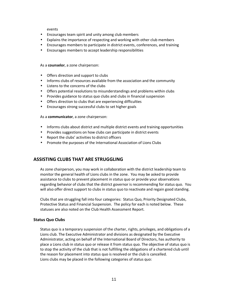events

- Encourages team spirit and unity among club members
- Explains the importance of respecting and working with other club members
- Encourages members to participate in district events, conferences, and training
- Encourages members to accept leadership responsibilities

#### As a counselor, a zone chairperson:

- Offers direction and support to clubs
- Informs clubs of resources available from the association and the community
- Listens to the concerns of the clubs
- Offers potential resolutions to misunderstandings and problems within clubs
- Provides guidance to status quo clubs and clubs in financial suspension
- Offers direction to clubs that are experiencing difficulties
- Encourages strong successful clubs to set higher goals

As a communicator, a zone chairperson:

- Informs clubs about district and multiple district events and training opportunities
- Provides suggestions on how clubs can participate in district events
- Report the clubs' activities to district officers
- Promote the purposes of the International Association of Lions Clubs

# ASSISTING CLUBS THAT ARE STRUGGLING

As zone chairperson, you may work in collaboration with the district leadership team to monitor the general health of Lions clubs in the zone. You may be asked to provide assistance to clubs to prevent placement in status quo or provide your observations regarding behavior of clubs that the district governor is recommending for status quo. You will also offer direct support to clubs in status quo to reactivate and regain good standing.

Clubs that are struggling fall into four categories: Status Quo, Priority Designated Clubs, Protective Status and Financial Suspension. The policy for each is noted below. These statuses are also noted on the Club Health Assessment Report.

#### Status Quo Clubs

Status quo is a temporary suspension of the charter, rights, privileges, and obligations of a Lions club. The Executive Administrator and divisions as designated by the Executive Administrator, acting on behalf of the International Board of Directors, has authority to place a Lions club in status quo or release it from status quo. The objective of status quo is to stop the activity of the club that is not fulfilling the obligations of a chartered club until the reason for placement into status quo is resolved or the club is cancelled. Lions clubs may be placed in the following categories of status quo: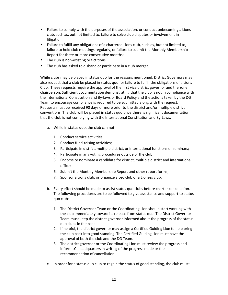- Failure to comply with the purposes of the association, or conduct unbecoming a Lions club, such as, but not limited to, failure to solve club disputes or involvement in litigation
- Failure to fulfill any obligations of a chartered Lions club, such as, but not limited to, failure to hold club meetings regularly, or failure to submit the Monthly Membership Report for three or more consecutive months;
- The club is non-existing or fictitious
- The club has asked to disband or participate in a club merger.

While clubs may be placed in status quo for the reasons mentioned, District Governors may also request that a club be placed in status quo for failure to fulfill the obligations of a Lions Club. These requests require the approval of the first vice district governor and the zone chairperson. Sufficient documentation demonstrating that the club is not in compliance with the International Constitution and By-laws or Board Policy and the actions taken by the DG Team to encourage compliance is required to be submitted along with the request. Requests must be received 90 days or more prior to the district and/or multiple district conventions. The club will be placed in status quo once there is significant documentation that the club is not complying with the International Constitution and By-Laws.

- a. While in status quo, the club can not
	- 1. Conduct service activities;
	- 2. Conduct fund-raising activities;
	- 3. Participate in district, multiple district, or international functions or seminars;
	- 4. Participate in any voting procedures outside of the club;
	- 5. Endorse or nominate a candidate for district, multiple district and international office;
	- 6. Submit the Monthly Membership Report and other report forms;
	- 7. Sponsor a Lions club, or organize a Leo club or a Lioness club.
- b. Every effort should be made to assist status quo clubs before charter cancellation. The following procedures are to be followed to give assistance and support to status quo clubs:
	- 1. The District Governor Team or the Coordinating Lion should start working with the club immediately toward its release from status quo. The District Governor Team must keep the district governor informed about the progress of the status quo clubs in the zone.
	- 2. If helpful, the district governor may assign a Certified Guiding Lion to help bring the club back into good standing. The Certified Guiding Lion must have the approval of both the club and the DG Team.
	- 3. The district governor or the Coordinating Lion must review the progress and inform LCI headquarters in writing of the progress made or the recommendation of cancellation.
- c. In order for a status quo club to regain the status of good standing, the club must: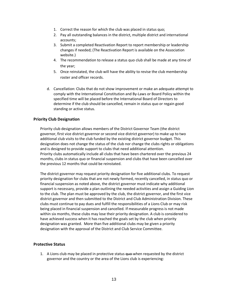- 1. Correct the reason for which the club was placed in status quo;
- 2. Pay all outstanding balances in the district, multiple district and international accounts;
- 3. Submit a completed Reactivation Report to report membership or leadership changes if needed; (The Reactivation Report is available on the Association website.)
- 4. The recommendation to release a status quo club shall be made at any time of the year;
- 5. Once reinstated, the club will have the ability to revise the club membership roster and officer records.
- d. Cancellation: Clubs that do not show improvement or make an adequate attempt to comply with the International Constitution and By-Laws or Board Policy within the specified time will be placed before the International Board of Directors to determine if the club should be cancelled, remain in status quo or regain good standing or active status.

#### Priority Club Designation

Priority club designation allows members of the District Governor Team (the district governor, first vice district governor or second vice district governor) to make up to two additional club visits to the club funded by the existing district governor budget. This designation does not change the status of the club nor change the clubs rights or obligations and is designed to provide support to clubs that need additional attention. Priority clubs automatically include all clubs that have been chartered over the previous 24 months, clubs in status quo or financial suspension and clubs that have been cancelled over the previous 12 months that could be reinstated.

The district governor may request priority designation for five additional clubs. To request priority designation for clubs that are not newly formed, recently cancelled, in status quo or financial suspension as noted above, the district governor must indicate why additional support is necessary, provide a plan outlining the needed activities and assign a Guiding Lion to the club. The plan must be approved by the club, the district governor, and the first vice district governor and then submitted to the District and Club Administration Division. These clubs must continue to pay dues and fulfill the responsibilities of a Lions Club or may risk being placed in financial suspension and cancelled. If measurable progress is not made within six months, these clubs may lose their priority designation. A club is considered to have achieved success when it has reached the goals set by the club when priority designation was granted. More than five additional clubs may be given a priority designation with the approval of the District and Club Service Committee.

#### Protective Status

1. A Lions club may be placed in protective status  $quo$ -when requested by the district governor and the country or the area of the Lions club is experiencing: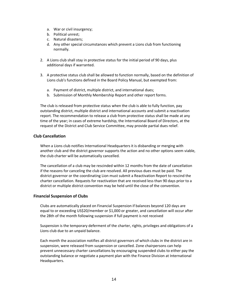- a. War or civil insurgency;
- b. Political unrest;
- c. Natural disasters;
- d. Any other special circumstances which prevent a Lions club from functioning normally.
- 2. A Lions club shall stay in protective status for the initial period of 90 days, plus additional days if warranted.
- 3. A protective status club shall be allowed to function normally, based on the definition of Lions club's functions defined in the Board Policy Manual, but exempted from:
	- a. Payment of district, multiple district, and international dues;
	- b. Submission of Monthly Membership Report and other report forms.

The club is released from protective status when the club is able to fully function, pay outstanding district, multiple district and international accounts and submit a reactivation report. The recommendation to release a club from protective status shall be made at any time of the year; in cases of extreme hardship, the International Board of Directors, at the request of the District and Club Service Committee, may provide partial dues relief.

#### Club Cancellation

When a Lions club notifies International Headquarters it is disbanding or merging with another club and the district governor supports the action and no other options seem viable, the club charter will be automatically cancelled.

The cancellation of a club may be rescinded within 12 months from the date of cancellation if the reasons for canceling the club are resolved. All previous dues must be paid. The district governor or the coordinating Lion must submit a Reactivation Report to rescind the charter cancellation. Requests for reactivation that are received less than 90 days prior to a district or multiple district convention may be held until the close of the convention.

#### Financial Suspension of Clubs

Clubs are automatically placed on Financial Suspension if balances beyond 120 days are equal to or exceeding US\$20/member or \$1,000 or greater, and cancellation will occur after the 28th of the month following suspension if full payment is not received

Suspension is the temporary deferment of the charter, rights, privileges and obligations of a Lions club due to an unpaid balance.

Each month the association notifies all district governors of which clubs in the district are in suspension, were released from suspension or cancelled. Zone chairpersons can help prevent unnecessary charter cancellations by encouraging suspended clubs to either pay the outstanding balance or negotiate a payment plan with the Finance Division at International Headquarters.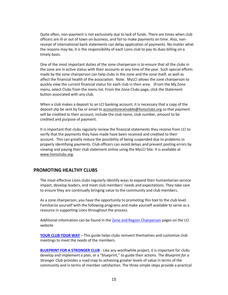Quite often, non-payment is not exclusively due to lack of funds. There are times when club officers are ill or out of town on business, and fail to make payments on time. Also, nonreceipt of international bank statements can delay application of payments. No matter what the reasons may be, it is the responsibility of each Lions club to pay its dues billing on a timely basis.

One of the most important duties of the zone chairperson is to ensure that all the clubs in the zone are in active status with their accounts at any time of the year. Such special efforts made by the zone chairperson can help clubs in the zone and the zone itself, as well as affect the financial health of the association. Note: MyLCI allows the zone chairperson to quickly view the current financial status for each club in their area. (From the My Zone menu, select Clubs from the menu list. From the Zone Clubs page, click the Statement button associated with any club.

When a club makes a deposit to an LCI banking account, it is necessary that a copy of the deposit slip be sent by fax or email to accountsreceivable@lionsclubs.org so that payment will be credited to their account; include the club name, club number, amount to be credited and purpose of payment.

It is important that clubs regularly review the financial statements they receive from LCI to verify that the payments they have made have been received and credited to their account. This can greatly reduce the possibility of being suspended due to problems in properly identifying payments. Club officers can avoid delays and prevent posting errors by viewing and paying their club statement online using the MyLCI Site. It is available at www.lionsclubs.org.

# PROMOTING HEALTHY CLUBS

The most effective Lions clubs regularly identify ways to expand their humanitarian service impact, develop leaders, and meet club members' needs and expectations. They take care to ensure they are continually bringing value to the community and club members.

As a zone chairperson, you have the opportunity to promoting this tool to the club level. Familiarize yourself with the following programs and make yourself available to serve as a resource in supporting Lions throughout the process.

Additional information can be found in the Zone and Region Chairperson pages on the LCI website

YOUR CLUB YOUR WAY – This guide helps clubs reinvent themselves and customize club meetings to meet the needs of the members.

**BLUEPRINT FOR A STRONGER CLUB** - Like any worthwhile project, it is important for clubs develop and implement a plan, or a "blueprint," to guide their actions. The Blueprint for a Stronger Club provides a road map to achieving greater levels of value in terms of the community and in terms of member satisfaction. The three simple steps provide a practical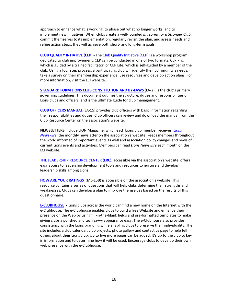approach to enhance what is working, to phase out what no longer works, and to implement new initiatives. When clubs create a well-founded Blueprint for a Stronger Club, commit themselves to its implementation, regularly revisit the plan, and assess needs and refine action steps, they will achieve both short- and long-term goals.

CLUB QUALITY INTIATIVE (CEP) - The Club Quality Initiative (CEP) is a workshop program dedicated to club improvement. CEP can be conducted in one of two formats: CEP Pro, which is guided by a trained facilitator, or CEP Lite, which is self-guided by a member of the club. Using a four step process, a participating club will identify their community's needs, take a survey on their membership experience, use resources and develop action plans. For more information, visit the LCI website.

STANDARD FORM LIONS CLUB CONSTITUTION AND BY-LAWS (LA-2), is the club's primary governing guidelines. This document outlines the structure, duties and responsibilities of Lions clubs and officers, and is the ultimate guide for club management.

CLUB OFFICERS MANUAL (LA-15) provides club officers with basic information regarding their responsibilities and duties. Club officers can review and download the manual from the Club Resource Center on the association's website.

NEWSLETTERS include LION Magazine, which each Lions club member receives. *Lions* Newswire, the monthly newsletter on the association's website, keeps members throughout the world informed of important events as well and association policy changes and news of current Lions events and activities. Members can read Lions Newswire each month on the LCI website.

THE LEADERSHIP RESOURCE CENTER (LRC), accessible via the association's website, offers easy access to leadership development tools and resources to nurture and develop leadership skills among Lions.

HOW ARE YOUR RATINGS (ME-15B) is accessible on the association's website. This resource contains a series of questions that will help clubs determine their strengths and weaknesses. Clubs can develop a plan to improve themselves based on the results of this questionnaire.

E-CLUBHOUSE - Lions clubs across the world can find a new home on the Internet with the e-Clubhouse. The e-Clubhouse enables clubs to build a free Website and enhance their presence on the Web by using fill-in-the-blank fields and pre-formatted templates to make giving clubs a polished and tech savvy appearance easy. The e-Clubhouse also provides consistency with the Lions branding while enabling clubs to preserve their individuality. The site includes a club calendar, club projects, photo gallery and contact us page to help tell others about their Lions club. Up to five more pages can be added. It's up to the club to key in information and to determine how it will be used. Encourage clubs to develop their own web presence with the e-Clubhouse.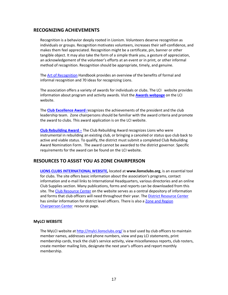# RECOGNIZING ACHIEVEMENTS

Recognition is a behavior deeply rooted in Lionism. Volunteers deserve recognition as individuals or groups. Recognition motivates volunteers, increases their self-confidence, and makes them feel appreciated. Recognition might be a certificate, pin, banner or other tangible object. It may also take the form of a simple thank you, a gesture of appreciation, an acknowledgement of the volunteer's efforts at an event or in print, or other informal method of recognition. Recognition should be appropriate, timely, and genuine.

The Art of Recognition Handbook provides an overview of the benefits of formal and informal recognition and 70 ideas for recognizing Lions.

The association offers a variety of awards for individuals or clubs. The LCI website provides information about program and activity awards. Visit the **Awards webpage** on the LCI website.

The Club Excellence Award recognizes the achievements of the president and the club leadership team. Zone chairpersons should be familiar with the award criteria and promote the award to clubs. This award application is on the LCI website.

Club Rebuilding Award - The Club Rebuilding Award recognizes Lions who were instrumental in rebuilding an existing club, or bringing a canceled or status quo club back to active and viable status. To qualify, the district must submit a completed Club Rebuilding Award Nomination Form. The award cannot be awarded to the district governor. Specific requirements for the award can be found on the LCI website.

# RESOURCES TO ASSIST YOU AS ZONE CHAIRPERSON

LIONS CLUBS INTERNATIONAL WEBSITE, located at www.lionsclubs.org, is an essential tool for clubs. The site offers basic information about the association's programs, contact information and e-mail links to International Headquarters, various directories and an online Club Supplies section. Many publications, forms and reports can be downloaded from this site. The Club Resource Center on the website serves as a central depository of information and forms that club officers will need throughout their year. The District Resource Center has similar information for district level officers. There is also a Zone and Region Chairperson Center resource page.

#### MyLCI WEBSITE

The MyLCI website at http://mylci.lionsclubs.org/ is a tool used by club officers to maintain member names, addresses and phone numbers, view and pay LCI statements, print membership cards, track the club's service activity, view miscellaneous reports, club rosters, create member mailing lists, designate the next year's officers and report monthly membership.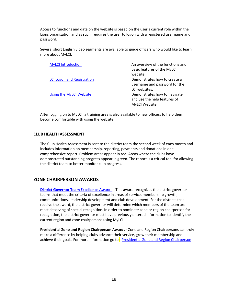Access to functions and data on the website is based on the user's current role within the Lions organization and as such, requires the user to logon with a registered user name and password.

Several short English video segments are available to guide officers who would like to learn more about MyLCI.

| <b>MyLCI Introduction</b>         | An overview of the functions and |
|-----------------------------------|----------------------------------|
|                                   | basic features of the MyLCI      |
|                                   | website.                         |
| <b>LCI Logon and Registration</b> | Demonstrates how to create a     |
|                                   | username and password for the    |
|                                   | LCI websites.                    |
| Using the MyLCI Website           | Demonstrates how to navigate     |
|                                   | and use the help features of     |
|                                   | MyLCI Website.                   |

After logging on to MyLCI, a training area is also available to new officers to help them become comfortable with using the website.

#### CLUB HEALTH ASSESSMENT

The Club Health Assessment is sent to the district team the second week of each month and includes information on membership, reporting, payments and donations in one comprehensive report. Problem areas appear in red. Areas where the clubs have demonstrated outstanding progress appear in green. The report is a critical tool for allowing the district team to better monitor club progress.

# ZONE CHAIRPERSON AWARDS

**District Governor Team Excellence Award** - This award recognizes the district governor teams that meet the criteria of excellence in areas of service, membership growth, communications, leadership development and club development. For the districts that receive the award, the district governor will determine which members of the team are most deserving of special recognition. In order to nominate zone or region chairperson for recognition, the district governor must have previously entered information to identify the current region and zone chairpersons using MyLCI.

Presidential Zone and Region Chairperson Awards - Zone and Region Chairpersons can truly make a difference by helping clubs advance their service, grow their membership and achieve their goals. For more information go to: Presidential Zone and Region Chairperson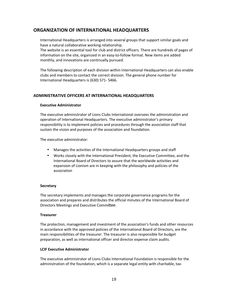# ORGANIZATION OF INTERNATIONAL HEADQUARTERS

International Headquarters is arranged into several groups that support similar goals and have a natural collaborative working relationship. The website is an essential tool for club and district officers. There are hundreds of pages of

information on the site, organized in an easy-to-follow format. New items are added monthly, and innovations are continually pursued.

The following description of each division within International Headquarters can also enable clubs and members to contact the correct division. The general phone number for International Headquarters is (630) 571- 5466.

#### ADMINISTRATIVE OFFICERS AT INTERNATIONAL HEADQUARTERS

#### Executive Administrator

The executive administrator of Lions Clubs International oversees the administration and operation of International Headquarters. The executive administrator's primary responsibility is to implement policies and procedures through the association staff that sustain the vision and purposes of the association and foundation.

The executive administrator:

- Manages the activities of the International Headquarters groups and staff
- Works closely with the International President, the Executive Committee, and the International Board of Directors to assure that the worldwide activities and expansion of Lionism are in keeping with the philosophy and policies of the association

#### **Secretary**

The secretary implements and manages the corporate governance programs for the association and prepares and distributes the official minutes of the International Board of Directors Meetings and Executive Committee.

#### Treasurer

The protection, management and investment of the association's funds and other resources in accordance with the approved policies of the International Board of Directors, are the main responsibilities of the treasurer. The treasurer is also responsible for budget preparation, as well as international officer and director expense claim audits.

#### LCIF Executive Administrator

The executive administrator of Lions Clubs International Foundation is responsible for the administration of the foundation, which is a separate legal entity with charitable, tax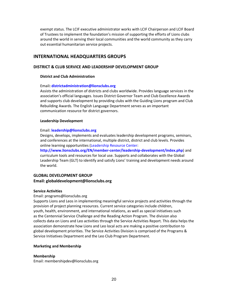exempt status. The LCIF executive administrator works with LCIF Chairperson and LCIF Board of Trustees to implement the foundation's mission of supporting the efforts of Lions clubs around the world in serving their local communities and the world community as they carry out essential humanitarian service projects.

# INTERNATIONAL HEADQUARTERS GROUPS

#### DISTRICT & CLUB SERVICE AND LEADERSHIP DEVELOPMENT GROUP

#### District and Club Administration

#### Email: districtadministration@lionsclubs.org

Assists the administration of districts and clubs worldwide. Provides language services in the association's official languages. Issues District Governor Team and Club Excellence Awards and supports club development by providing clubs with the Guiding Lions program and Club Rebuilding Awards. The English Language Department serves as an important communication resource for district governors.

#### Leadership Development

#### Email: leadership@lionsclubs.org

Designs, develops, implements and evaluates leadership development programs, seminars, and conferences at the international, multiple district, district and club levels. Provides online learning opportunities (Leadership Resource Center:

http://www.lionsclubs.org/EN/member-center/leadership-development/index.php) and curriculum tools and resources for local use. Supports and collaborates with the Global Leadership Team (GLT) to identify and satisfy Lions' training and development needs around the world.

#### GLOBAL DEVELOPMENT GROUP

#### Email: globaldevelopment@lionsclubs.org

#### Service Activities

#### Email: programs@lionsclubs.org

Supports Lions and Leos in implementing meaningful service projects and activities through the provision of project planning resources. Current service categories include children, youth, health, environment, and international relations, as well as special initiatives such as the Centennial Service Challenge and the Reading Action Program. The division also collects data on Lions and Leo activities through the Service Activities Report. This data helps the association demonstrate how Lions and Leo local acts are making a positive contribution to global development priorities. The Service Activities Division is comprised of the Programs & Service Initiatives Department and the Leo Club Program Department.

#### Marketing and Membership

#### Membership Email: membershipdev@lionsclubs.org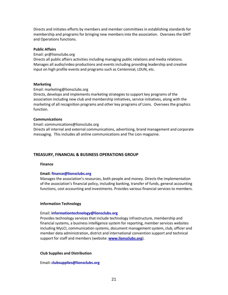Directs and initiates efforts by members and member committees in establishing standards for membership and programs for bringing new members into the association. Oversees the GMT and Operations functions.

#### Public Affairs

#### Email: pr@lionsclubs.org

Directs all public affairs activities including managing public relations and media relations. Manages all audio/video productions and events including providing leadership and creative input on high profile events and programs such as Centennial, LDUN, etc.

#### Marketing

#### Email: marketing@lionsclubs.org

Directs, develops and implements marketing strategies to support key programs of the association including new club and membership initiatives, service initiatives, along with the marketing of all recognition programs and other key programs of Lions. Oversees the graphics function.

#### **Communications**

Email: communications@lionsclubs.org Directs all internal and external communications, advertising, brand management and corporate messaging. This includes all online communications and The Lion magazine.

#### TREASURY, FINANCIAL & BUSINESS OPERATIONS GROUP

#### Finance

#### Email: finance@lionsclubs.org

Manages the association's resources, both people and money. Directs the implementation of the association's financial policy, including banking, transfer of funds, general accounting functions, cost accounting and investments. Provides various financial services to members.

#### Information Technology

#### Email: informationtechnology@lionsclubs.org

Provides technology services that include technology infrastructure, membership and financial systems, a business intelligence system for reporting, member services websites including MyLCI, communication systems, document management system, club, officer and member data administration, district and international convention support and technical support for staff and members (website: **www.lionsclubs.org**).

#### Club Supplies and Distribution

Email: clubsupplies@lionsclubs.org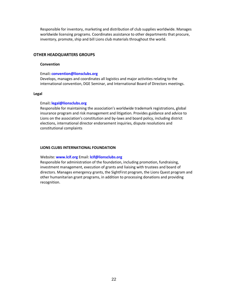Responsible for inventory, marketing and distribution of club supplies worldwide. Manages worldwide licensing programs. Coordinates assistance to other departments that procure, inventory, promote, ship and bill Lions club materials throughout the world.

#### OTHER HEADQUARTERS GROUPS

#### Convention

#### Email: convention@lionsclubs.org

Develops, manages and coordinates all logistics and major activities relating to the international convention, DGE Seminar, and International Board of Directors meetings.

#### Legal

#### Email: legal@lionsclubs.org

Responsible for maintaining the association's worldwide trademark registrations, global insurance program and risk management and litigation. Provides guidance and advice to Lions on the association's constitution and by-laws and board policy, including district elections, international director endorsement inquiries, dispute resolutions and constitutional complaints

#### LIONS CLUBS INTERNATIONAL FOUNDATION

#### Website: www.lcif.org Email: lcif@lionsclubs.org

Responsible for administration of the foundation, including promotion, fundraising, investment management, execution of grants and liaising with trustees and board of directors. Manages emergency grants, the SightFirst program, the Lions Quest program and other humanitarian grant programs, in addition to processing donations and providing recognition.